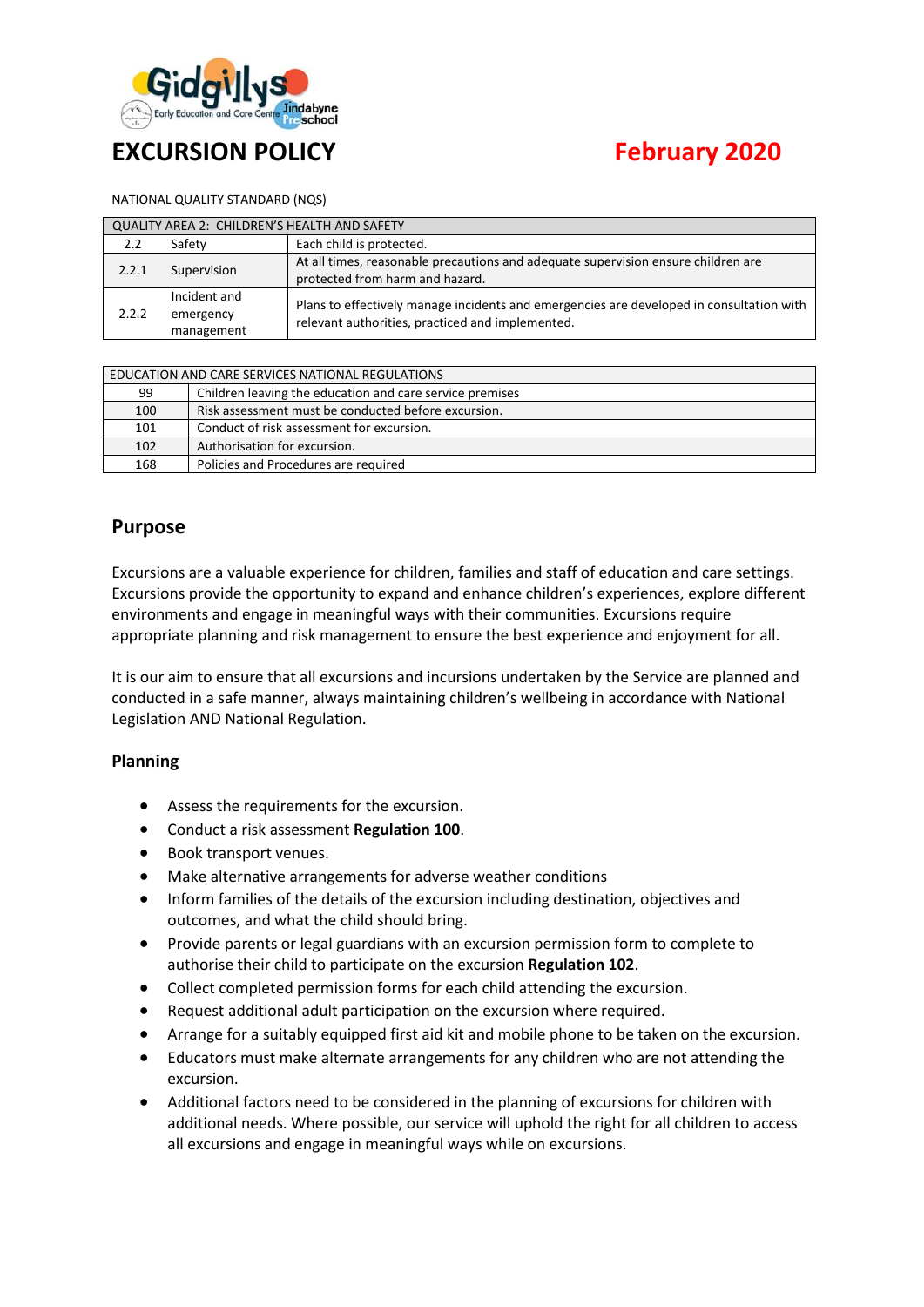

# **EXCURSION POLICY CONSERVATION FEBRUARY 2020**

#### NATIONAL QUALITY STANDARD (NQS)

| QUALITY AREA 2: CHILDREN'S HEALTH AND SAFETY |                                         |                                                                                                                                              |  |  |  |
|----------------------------------------------|-----------------------------------------|----------------------------------------------------------------------------------------------------------------------------------------------|--|--|--|
| 2.2                                          | Safety                                  | Each child is protected.                                                                                                                     |  |  |  |
| 2.2.1                                        | Supervision                             | At all times, reasonable precautions and adequate supervision ensure children are<br>protected from harm and hazard.                         |  |  |  |
| 2.2.2                                        | Incident and<br>emergency<br>management | Plans to effectively manage incidents and emergencies are developed in consultation with<br>relevant authorities, practiced and implemented. |  |  |  |

| EDUCATION AND CARE SERVICES NATIONAL REGULATIONS |                                                          |  |  |  |
|--------------------------------------------------|----------------------------------------------------------|--|--|--|
| 99                                               | Children leaving the education and care service premises |  |  |  |
| 100                                              | Risk assessment must be conducted before excursion.      |  |  |  |
| 101                                              | Conduct of risk assessment for excursion.                |  |  |  |
| 102                                              | Authorisation for excursion.                             |  |  |  |
| 168                                              | Policies and Procedures are required                     |  |  |  |

# **Purpose**

Excursions are a valuable experience for children, families and staff of education and care settings. Excursions provide the opportunity to expand and enhance children's experiences, explore different environments and engage in meaningful ways with their communities. Excursions require appropriate planning and risk management to ensure the best experience and enjoyment for all.

It is our aim to ensure that all excursions and incursions undertaken by the Service are planned and conducted in a safe manner, always maintaining children's wellbeing in accordance with National Legislation AND National Regulation.

#### **Planning**

- Assess the requirements for the excursion.
- Conduct a risk assessment **Regulation 100**.
- Book transport venues.
- Make alternative arrangements for adverse weather conditions
- Inform families of the details of the excursion including destination, objectives and outcomes, and what the child should bring.
- Provide parents or legal guardians with an excursion permission form to complete to authorise their child to participate on the excursion **Regulation 102**.
- Collect completed permission forms for each child attending the excursion.
- Request additional adult participation on the excursion where required.
- Arrange for a suitably equipped first aid kit and mobile phone to be taken on the excursion.
- Educators must make alternate arrangements for any children who are not attending the excursion.
- Additional factors need to be considered in the planning of excursions for children with additional needs. Where possible, our service will uphold the right for all children to access all excursions and engage in meaningful ways while on excursions.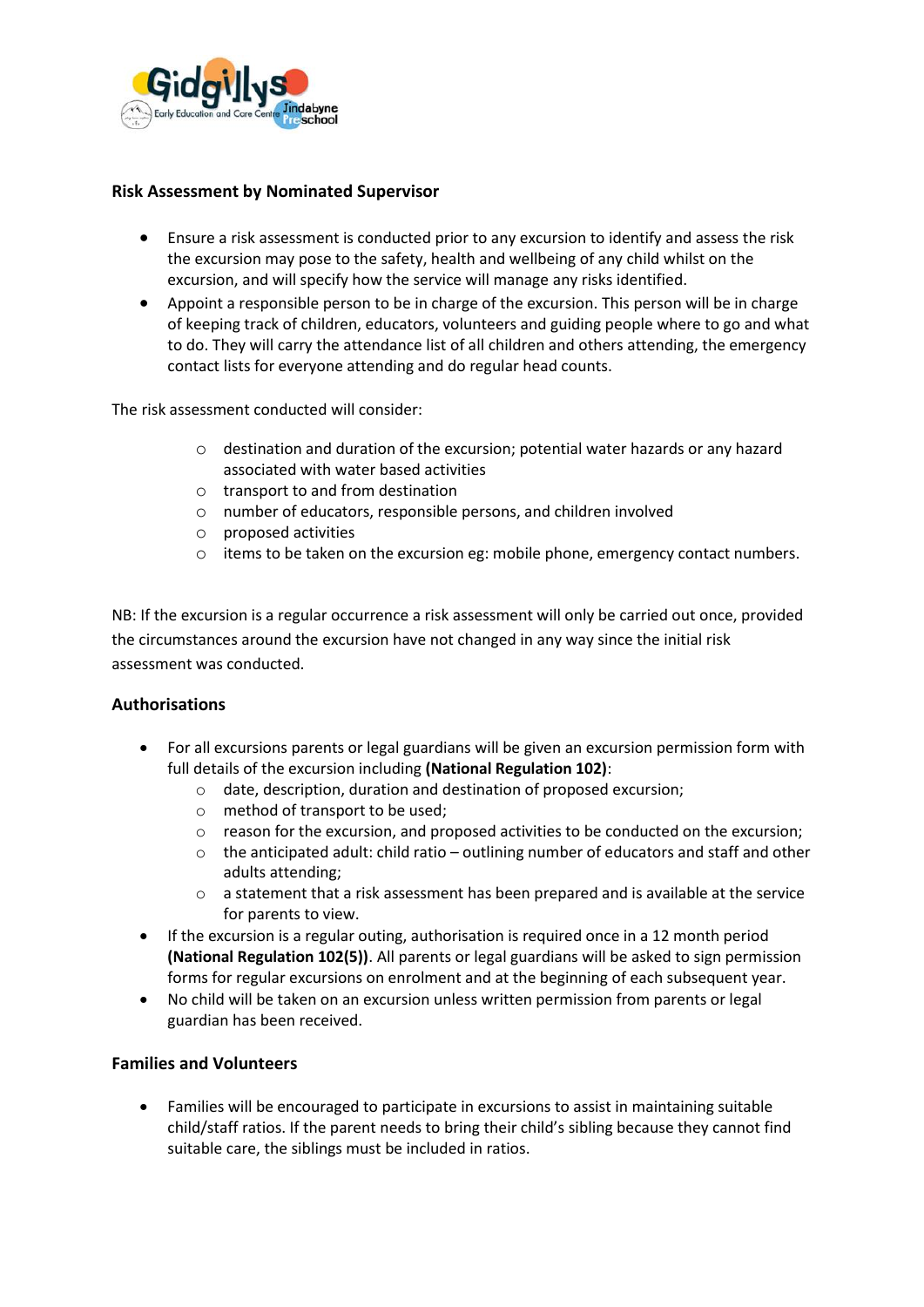

#### **Risk Assessment by Nominated Supervisor**

- Ensure a risk assessment is conducted prior to any excursion to identify and assess the risk the excursion may pose to the safety, health and wellbeing of any child whilst on the excursion, and will specify how the service will manage any risks identified.
- Appoint a responsible person to be in charge of the excursion. This person will be in charge of keeping track of children, educators, volunteers and guiding people where to go and what to do. They will carry the attendance list of all children and others attending, the emergency contact lists for everyone attending and do regular head counts.

The risk assessment conducted will consider:

- o destination and duration of the excursion; potential water hazards or any hazard associated with water based activities
- o transport to and from destination
- o number of educators, responsible persons, and children involved
- o proposed activities
- $\circ$  items to be taken on the excursion eg: mobile phone, emergency contact numbers.

NB: If the excursion is a regular occurrence a risk assessment will only be carried out once, provided the circumstances around the excursion have not changed in any way since the initial risk assessment was conducted.

#### **Authorisations**

- For all excursions parents or legal guardians will be given an excursion permission form with full details of the excursion including **(National Regulation 102)**:
	- o date, description, duration and destination of proposed excursion;
	- o method of transport to be used;
	- $\circ$  reason for the excursion, and proposed activities to be conducted on the excursion;
	- $\circ$  the anticipated adult: child ratio outlining number of educators and staff and other adults attending;
	- o a statement that a risk assessment has been prepared and is available at the service for parents to view.
- If the excursion is a regular outing, authorisation is required once in a 12 month period **(National Regulation 102(5))**. All parents or legal guardians will be asked to sign permission forms for regular excursions on enrolment and at the beginning of each subsequent year.
- No child will be taken on an excursion unless written permission from parents or legal guardian has been received.

#### **Families and Volunteers**

• Families will be encouraged to participate in excursions to assist in maintaining suitable child/staff ratios. If the parent needs to bring their child's sibling because they cannot find suitable care, the siblings must be included in ratios.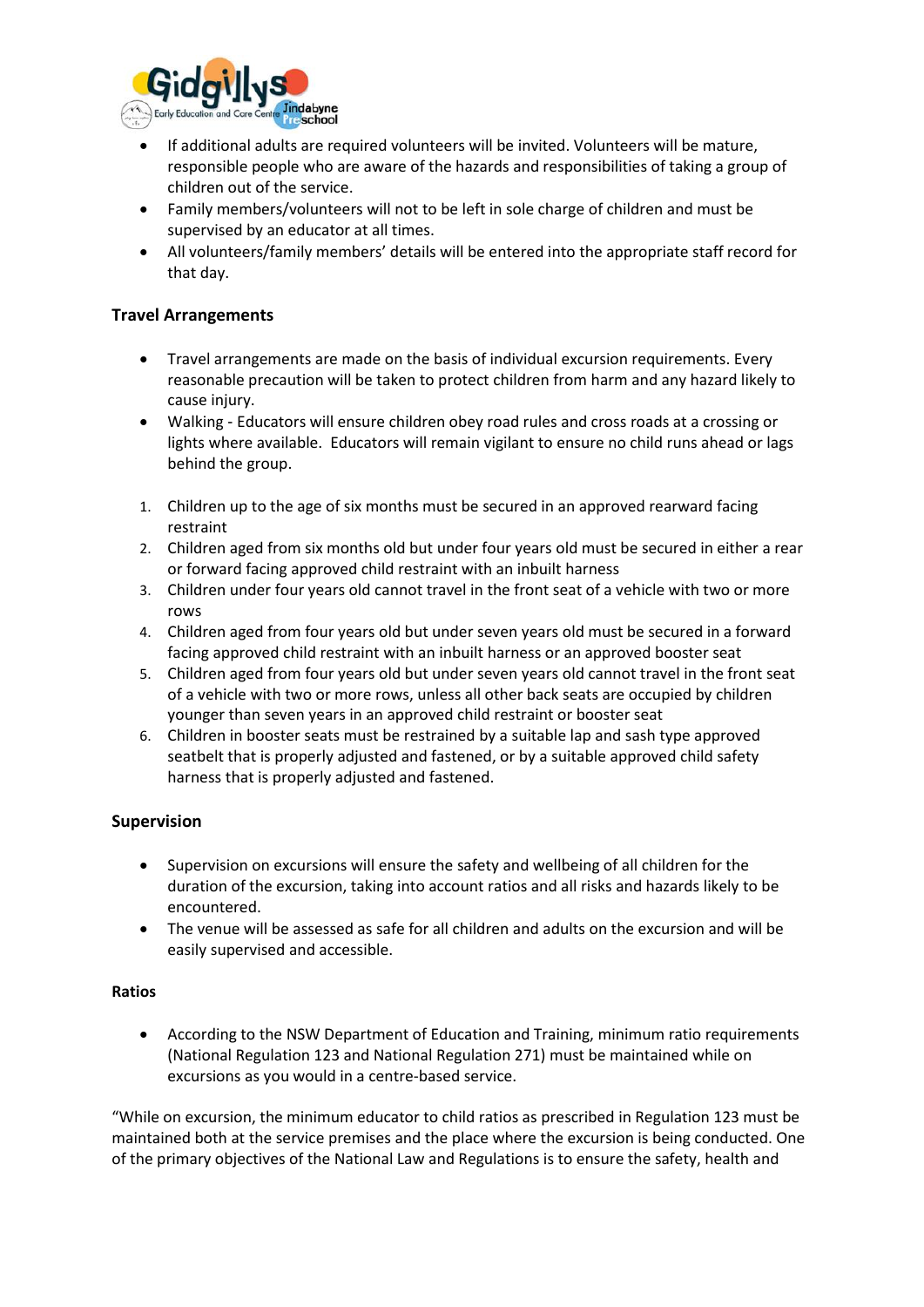

- If additional adults are required volunteers will be invited. Volunteers will be mature, responsible people who are aware of the hazards and responsibilities of taking a group of children out of the service.
- Family members/volunteers will not to be left in sole charge of children and must be supervised by an educator at all times.
- All volunteers/family members' details will be entered into the appropriate staff record for that day.

#### **Travel Arrangements**

- Travel arrangements are made on the basis of individual excursion requirements. Every reasonable precaution will be taken to protect children from harm and any hazard likely to cause injury.
- Walking Educators will ensure children obey road rules and cross roads at a crossing or lights where available. Educators will remain vigilant to ensure no child runs ahead or lags behind the group.
- 1. Children up to the age of six months must be secured in an approved rearward facing restraint
- 2. Children aged from six months old but under four years old must be secured in either a rear or forward facing approved child restraint with an inbuilt harness
- 3. Children under four years old cannot travel in the front seat of a vehicle with two or more rows
- 4. Children aged from four years old but under seven years old must be secured in a forward facing approved child restraint with an inbuilt harness or an approved booster seat
- 5. Children aged from four years old but under seven years old cannot travel in the front seat of a vehicle with two or more rows, unless all other back seats are occupied by children younger than seven years in an approved child restraint or booster seat
- 6. Children in booster seats must be restrained by a suitable lap and sash type approved seatbelt that is properly adjusted and fastened, or by a suitable approved child safety harness that is properly adjusted and fastened.

#### **Supervision**

- Supervision on excursions will ensure the safety and wellbeing of all children for the duration of the excursion, taking into account ratios and all risks and hazards likely to be encountered.
- The venue will be assessed as safe for all children and adults on the excursion and will be easily supervised and accessible.

#### **Ratios**

• According to the NSW Department of Education and Training, minimum ratio requirements (National Regulation 123 and National Regulation 271) must be maintained while on excursions as you would in a centre-based service.

"While on excursion, the minimum educator to child ratios as prescribed in Regulation 123 must be maintained both at the service premises and the place where the excursion is being conducted. One of the primary objectives of the National Law and Regulations is to ensure the safety, health and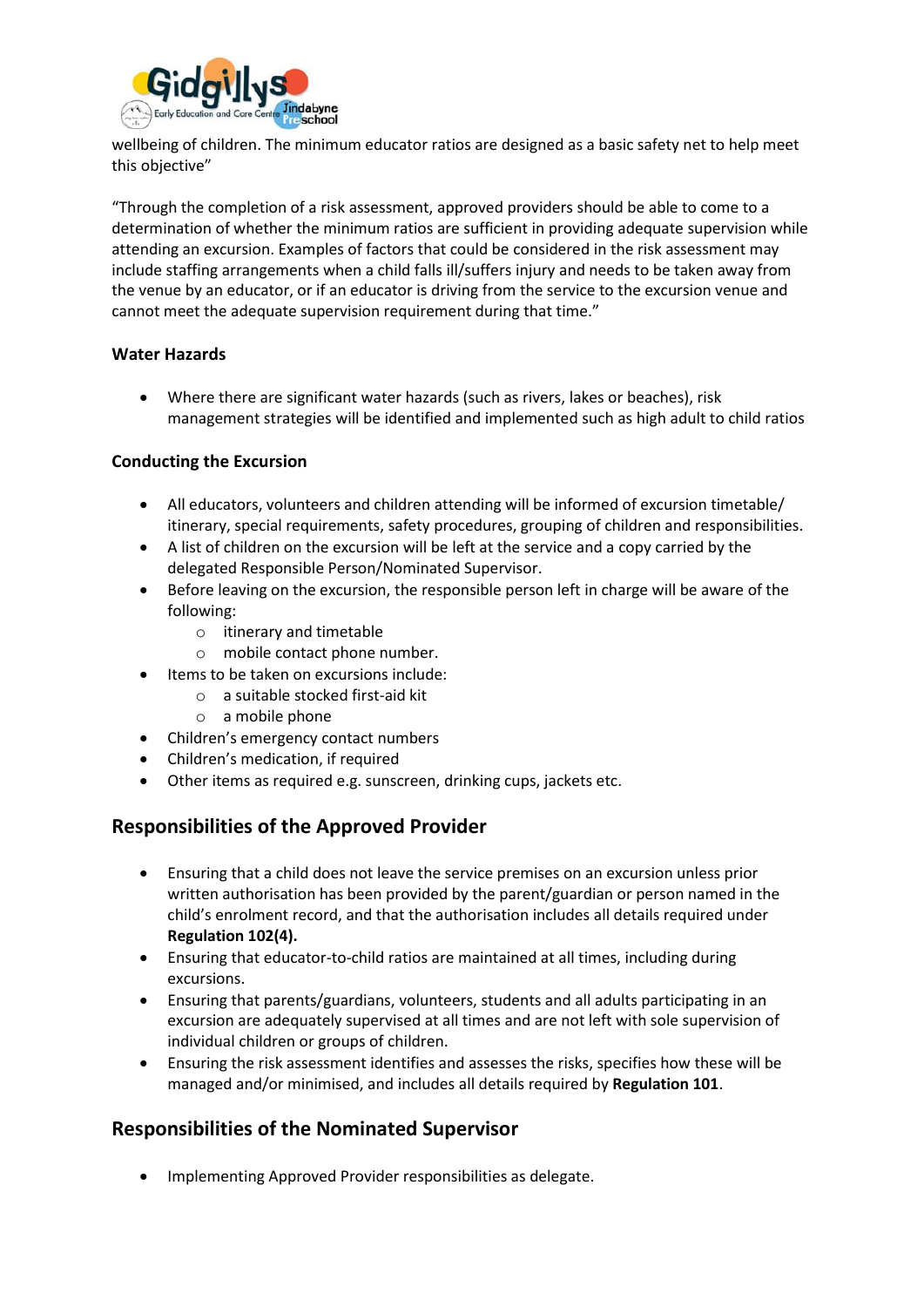

wellbeing of children. The minimum educator ratios are designed as a basic safety net to help meet this objective"

"Through the completion of a risk assessment, approved providers should be able to come to a determination of whether the minimum ratios are sufficient in providing adequate supervision while attending an excursion. Examples of factors that could be considered in the risk assessment may include staffing arrangements when a child falls ill/suffers injury and needs to be taken away from the venue by an educator, or if an educator is driving from the service to the excursion venue and cannot meet the adequate supervision requirement during that time."

#### **Water Hazards**

• Where there are significant water hazards (such as rivers, lakes or beaches), risk management strategies will be identified and implemented such as high adult to child ratios

#### **Conducting the Excursion**

- All educators, volunteers and children attending will be informed of excursion timetable/ itinerary, special requirements, safety procedures, grouping of children and responsibilities.
- A list of children on the excursion will be left at the service and a copy carried by the delegated Responsible Person/Nominated Supervisor.
- Before leaving on the excursion, the responsible person left in charge will be aware of the following:
	- o itinerary and timetable
	- o mobile contact phone number.
- Items to be taken on excursions include:
	- o a suitable stocked first-aid kit
	- o a mobile phone
- Children's emergency contact numbers
- Children's medication, if required
- Other items as required e.g. sunscreen, drinking cups, jackets etc.

#### **Responsibilities of the Approved Provider**

- Ensuring that a child does not leave the service premises on an excursion unless prior written authorisation has been provided by the parent/guardian or person named in the child's enrolment record, and that the authorisation includes all details required under **Regulation 102(4).**
- Ensuring that educator-to-child ratios are maintained at all times, including during excursions.
- Ensuring that parents/guardians, volunteers, students and all adults participating in an excursion are adequately supervised at all times and are not left with sole supervision of individual children or groups of children.
- Ensuring the risk assessment identifies and assesses the risks, specifies how these will be managed and/or minimised, and includes all details required by **Regulation 101**.

# **Responsibilities of the Nominated Supervisor**

• Implementing Approved Provider responsibilities as delegate.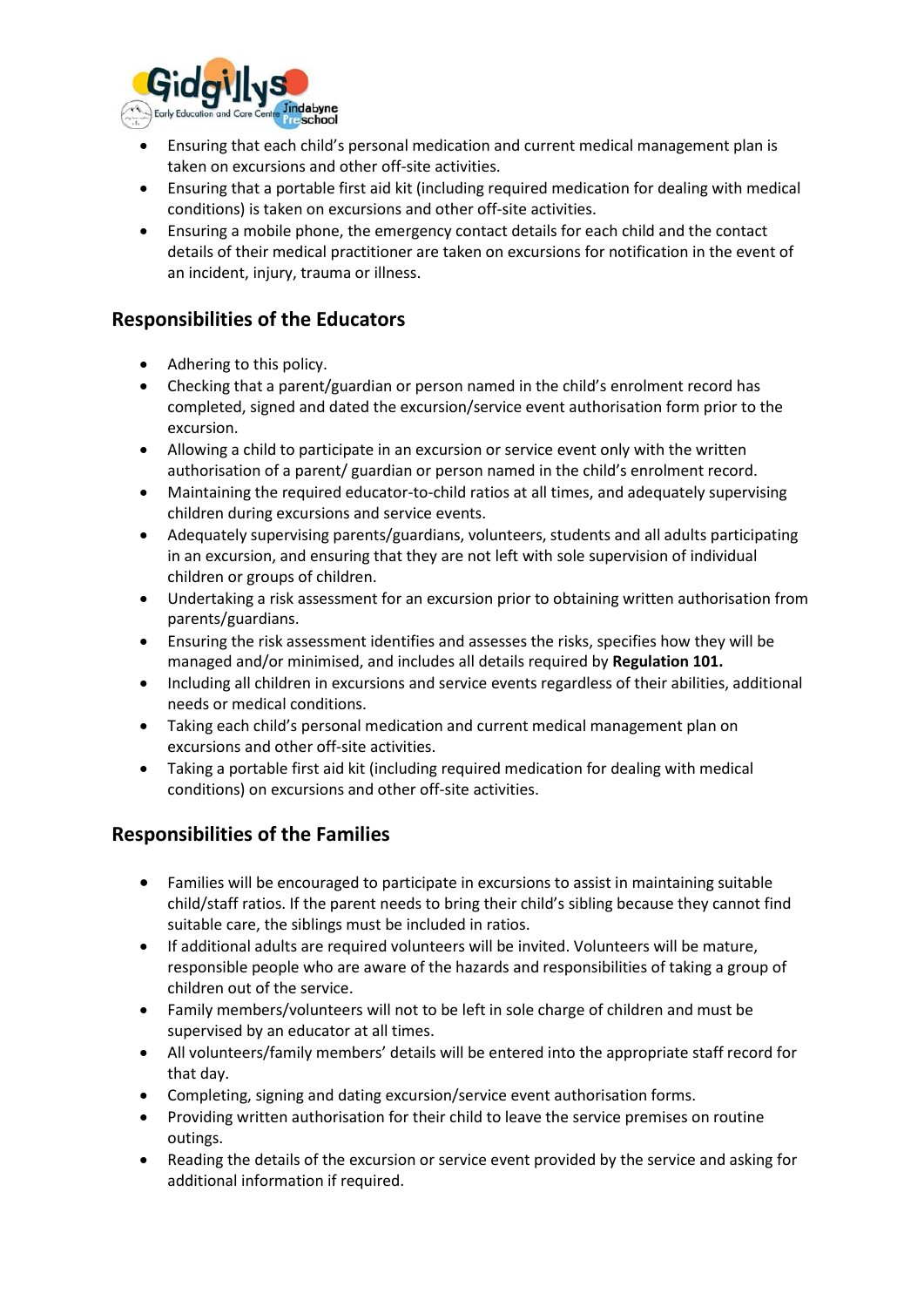

- Ensuring that each child's personal medication and current medical management plan is taken on excursions and other off-site activities.
- Ensuring that a portable first aid kit (including required medication for dealing with medical conditions) is taken on excursions and other off-site activities.
- Ensuring a mobile phone, the emergency contact details for each child and the contact details of their medical practitioner are taken on excursions for notification in the event of an incident, injury, trauma or illness.

# **Responsibilities of the Educators**

- Adhering to this policy.
- Checking that a parent/guardian or person named in the child's enrolment record has completed, signed and dated the excursion/service event authorisation form prior to the excursion.
- Allowing a child to participate in an excursion or service event only with the written authorisation of a parent/ guardian or person named in the child's enrolment record.
- Maintaining the required educator-to-child ratios at all times, and adequately supervising children during excursions and service events.
- Adequately supervising parents/guardians, volunteers, students and all adults participating in an excursion, and ensuring that they are not left with sole supervision of individual children or groups of children.
- Undertaking a risk assessment for an excursion prior to obtaining written authorisation from parents/guardians.
- Ensuring the risk assessment identifies and assesses the risks, specifies how they will be managed and/or minimised, and includes all details required by **Regulation 101.**
- Including all children in excursions and service events regardless of their abilities, additional needs or medical conditions.
- Taking each child's personal medication and current medical management plan on excursions and other off-site activities.
- Taking a portable first aid kit (including required medication for dealing with medical conditions) on excursions and other off-site activities.

# **Responsibilities of the Families**

- Families will be encouraged to participate in excursions to assist in maintaining suitable child/staff ratios. If the parent needs to bring their child's sibling because they cannot find suitable care, the siblings must be included in ratios.
- If additional adults are required volunteers will be invited. Volunteers will be mature, responsible people who are aware of the hazards and responsibilities of taking a group of children out of the service.
- Family members/volunteers will not to be left in sole charge of children and must be supervised by an educator at all times.
- All volunteers/family members' details will be entered into the appropriate staff record for that day.
- Completing, signing and dating excursion/service event authorisation forms.
- Providing written authorisation for their child to leave the service premises on routine outings.
- Reading the details of the excursion or service event provided by the service and asking for additional information if required.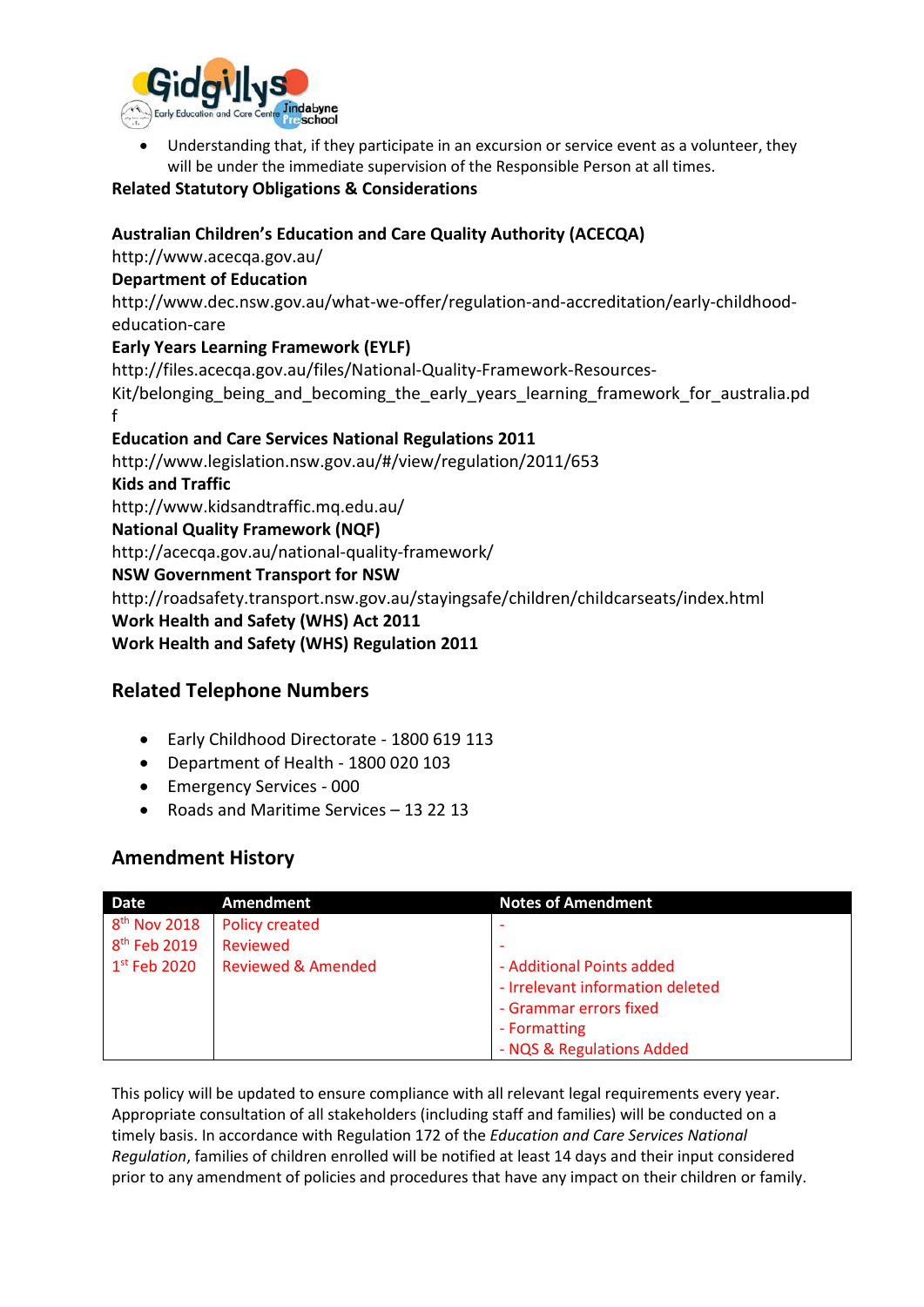

Understanding that, if they participate in an excursion or service event as a volunteer, they will be under the immediate supervision of the Responsible Person at all times.

#### **Related Statutory Obligations & Considerations**

#### **Australian Children's Education and Care Quality Authority (ACECQA)**

http://www.acecqa.gov.au/

#### **Department of Education**

http://www.dec.nsw.gov.au/what-we-offer/regulation-and-accreditation/early-childhoodeducation-care

#### **Early Years Learning Framework (EYLF)**

http://files.acecqa.gov.au/files/National-Quality-Framework-Resources-Kit/belonging\_being\_and\_becoming\_the\_early\_years\_learning\_framework\_for\_australia.pd f

#### **Education and Care Services National Regulations 2011**

http://www.legislation.nsw.gov.au/#/view/regulation/2011/653 **Kids and Traffic**  http://www.kidsandtraffic.mq.edu.au/ **National Quality Framework (NQF)**  http://acecqa.gov.au/national-quality-framework/ **NSW Government Transport for NSW**  http://roadsafety.transport.nsw.gov.au/stayingsafe/children/childcarseats/index.html **Work Health and Safety (WHS) Act 2011**

**Work Health and Safety (WHS) Regulation 2011**

# **Related Telephone Numbers**

- Early Childhood Directorate 1800 619 113
- Department of Health 1800 020 103
- Emergency Services 000
- Roads and Maritime Services 13 22 13

# **Amendment History**

| Date                     | Amendment                     | <b>Notes of Amendment</b>        |
|--------------------------|-------------------------------|----------------------------------|
| 8 <sup>th</sup> Nov 2018 | <b>Policy created</b>         |                                  |
| 8 <sup>th</sup> Feb 2019 | Reviewed                      |                                  |
| $1st$ Feb 2020           | <b>Reviewed &amp; Amended</b> | - Additional Points added        |
|                          |                               | - Irrelevant information deleted |
|                          |                               | - Grammar errors fixed           |
|                          |                               | - Formatting                     |
|                          |                               | - NQS & Regulations Added        |

This policy will be updated to ensure compliance with all relevant legal requirements every year. Appropriate consultation of all stakeholders (including staff and families) will be conducted on a timely basis. In accordance with Regulation 172 of the *Education and Care Services National Regulation*, families of children enrolled will be notified at least 14 days and their input considered prior to any amendment of policies and procedures that have any impact on their children or family.